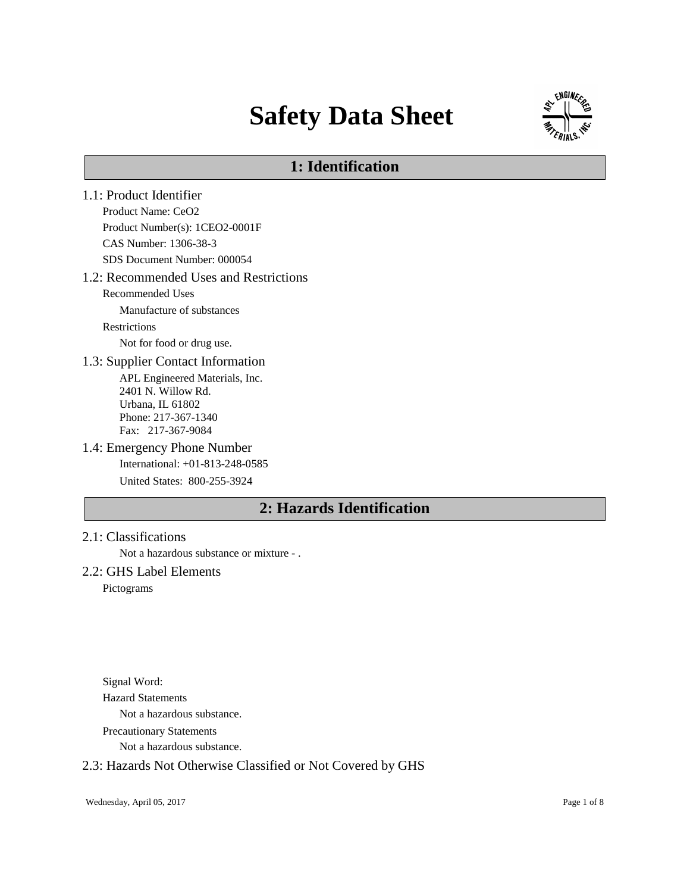# **Safety Data Sheet**



# **1: Identification**

1.1: Product Identifier Product Name: CeO2 Product Number(s): 1CEO2-0001F CAS Number: 1306-38-3 SDS Document Number: 000054 1.2: Recommended Uses and Restrictions Recommended Uses Manufacture of substances Restrictions Not for food or drug use. 1.3: Supplier Contact Information APL Engineered Materials, Inc. 2401 N. Willow Rd. Urbana, IL 61802 Phone: 217-367-1340 Fax: 217-367-9084 1.4: Emergency Phone Number International: +01-813-248-0585 United States: 800-255-3924 **2: Hazards Identification**

# 2.1: Classifications

Not a hazardous substance or mixture - .

## 2.2: GHS Label Elements

Pictograms

Signal Word: Hazard Statements Not a hazardous substance. Precautionary Statements

Not a hazardous substance.

## 2.3: Hazards Not Otherwise Classified or Not Covered by GHS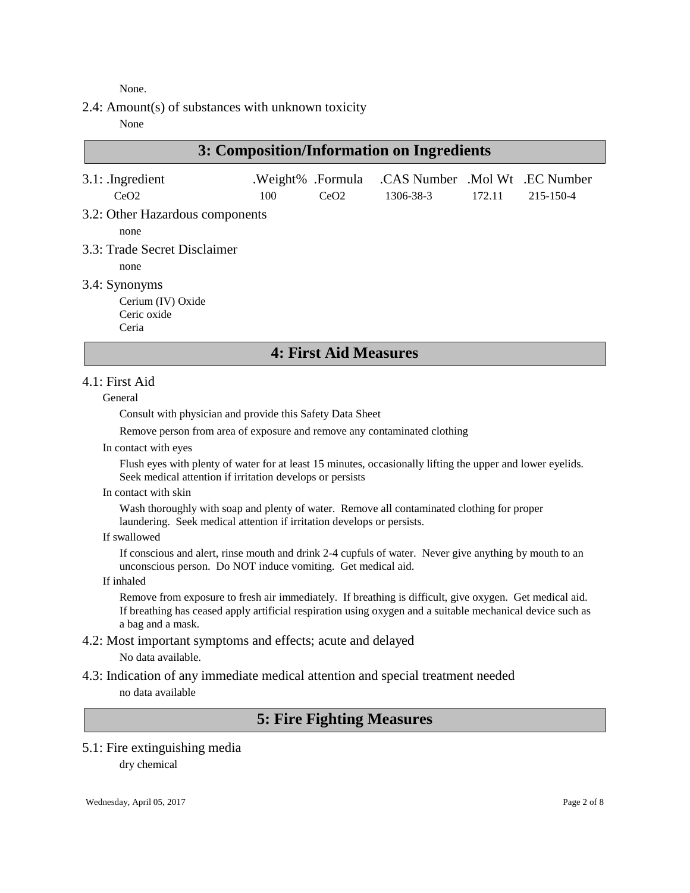None.

2.4: Amount(s) of substances with unknown toxicity

None

| 3: Composition/Information on Ingredients                  |     |                           |                                             |        |           |
|------------------------------------------------------------|-----|---------------------------|---------------------------------------------|--------|-----------|
| $3.1:$ . Ingredient<br>CeO2                                | 100 | .Weight% .Formula<br>CeO2 | .CAS Number .Mol Wt .EC Number<br>1306-38-3 | 172.11 | 215-150-4 |
| 3.2: Other Hazardous components<br>none                    |     |                           |                                             |        |           |
| 3.3: Trade Secret Disclaimer<br>none                       |     |                           |                                             |        |           |
| 3.4: Synonyms<br>Cerium (IV) Oxide<br>Ceric oxide<br>Ceria |     |                           |                                             |        |           |

# **4: First Aid Measures**

### 4.1: First Aid

#### General

Consult with physician and provide this Safety Data Sheet

Remove person from area of exposure and remove any contaminated clothing

In contact with eyes

Flush eyes with plenty of water for at least 15 minutes, occasionally lifting the upper and lower eyelids. Seek medical attention if irritation develops or persists

In contact with skin

Wash thoroughly with soap and plenty of water. Remove all contaminated clothing for proper laundering. Seek medical attention if irritation develops or persists.

If swallowed

If conscious and alert, rinse mouth and drink 2-4 cupfuls of water. Never give anything by mouth to an unconscious person. Do NOT induce vomiting. Get medical aid.

If inhaled

Remove from exposure to fresh air immediately. If breathing is difficult, give oxygen. Get medical aid. If breathing has ceased apply artificial respiration using oxygen and a suitable mechanical device such as a bag and a mask.

4.2: Most important symptoms and effects; acute and delayed

No data available.

4.3: Indication of any immediate medical attention and special treatment needed no data available

# **5: Fire Fighting Measures**

### 5.1: Fire extinguishing media dry chemical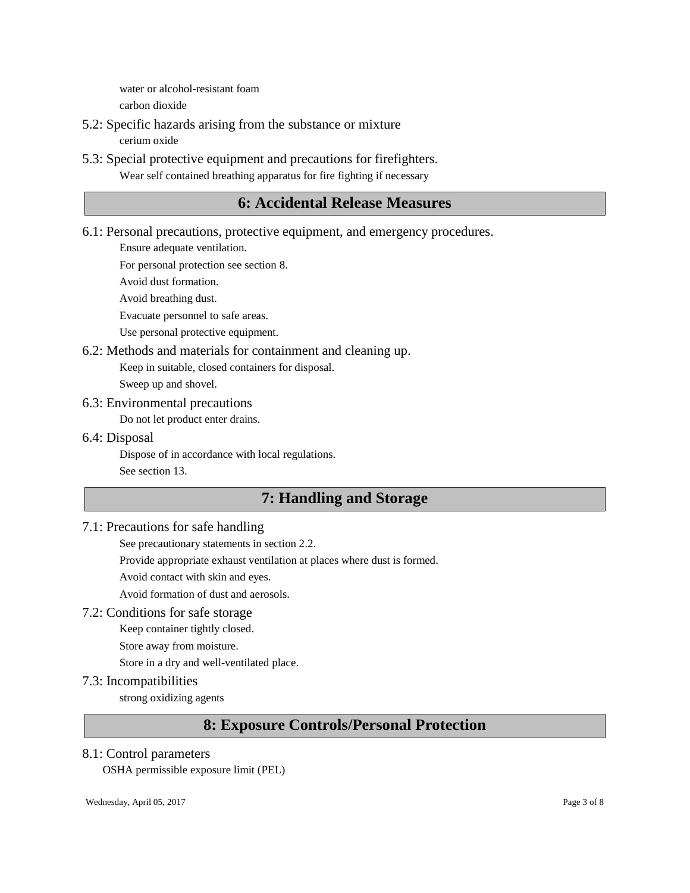water or alcohol-resistant foam carbon dioxide

- 5.2: Specific hazards arising from the substance or mixture cerium oxide
- 5.3: Special protective equipment and precautions for firefighters. Wear self contained breathing apparatus for fire fighting if necessary

# **6: Accidental Release Measures**

6.1: Personal precautions, protective equipment, and emergency procedures.

Ensure adequate ventilation.

For personal protection see section 8.

Avoid dust formation.

Avoid breathing dust.

Evacuate personnel to safe areas.

Use personal protective equipment.

6.2: Methods and materials for containment and cleaning up.

Keep in suitable, closed containers for disposal.

Sweep up and shovel.

# 6.3: Environmental precautions

Do not let product enter drains.

### 6.4: Disposal

Dispose of in accordance with local regulations. See section 13.

# **7: Handling and Storage**

# 7.1: Precautions for safe handling

See precautionary statements in section 2.2.

Provide appropriate exhaust ventilation at places where dust is formed.

Avoid contact with skin and eyes.

Avoid formation of dust and aerosols.

## 7.2: Conditions for safe storage

Keep container tightly closed.

Store away from moisture.

Store in a dry and well-ventilated place.

## 7.3: Incompatibilities

strong oxidizing agents

# **8: Exposure Controls/Personal Protection**

### 8.1: Control parameters

OSHA permissible exposure limit (PEL)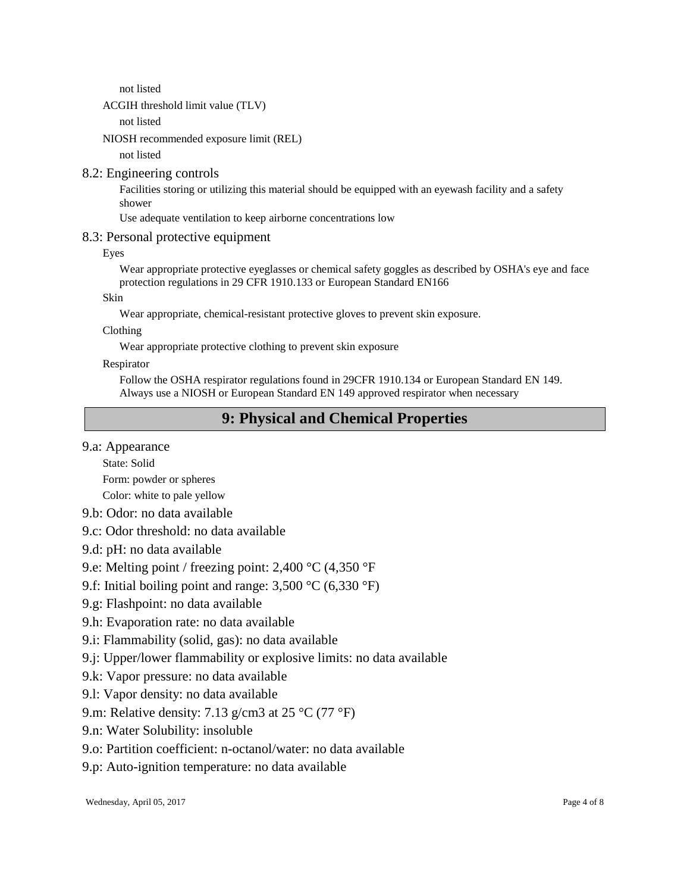not listed

## ACGIH threshold limit value (TLV)

not listed

NIOSH recommended exposure limit (REL)

not listed

### 8.2: Engineering controls

Facilities storing or utilizing this material should be equipped with an eyewash facility and a safety shower

Use adequate ventilation to keep airborne concentrations low

### 8.3: Personal protective equipment

Eyes

Wear appropriate protective eyeglasses or chemical safety goggles as described by OSHA's eye and face protection regulations in 29 CFR 1910.133 or European Standard EN166

Skin

Wear appropriate, chemical-resistant protective gloves to prevent skin exposure.

Clothing

Wear appropriate protective clothing to prevent skin exposure

Respirator

Follow the OSHA respirator regulations found in 29CFR 1910.134 or European Standard EN 149. Always use a NIOSH or European Standard EN 149 approved respirator when necessary

# **9: Physical and Chemical Properties**

9.a: Appearance

State: Solid

Form: powder or spheres

Color: white to pale yellow

- 9.b: Odor: no data available
- 9.c: Odor threshold: no data available
- 9.d: pH: no data available

9.e: Melting point / freezing point: 2,400 °C (4,350 °F

- 9.f: Initial boiling point and range: 3,500 °C (6,330 °F)
- 9.g: Flashpoint: no data available
- 9.h: Evaporation rate: no data available
- 9.i: Flammability (solid, gas): no data available
- 9.j: Upper/lower flammability or explosive limits: no data available
- 9.k: Vapor pressure: no data available
- 9.l: Vapor density: no data available
- 9.m: Relative density: 7.13 g/cm3 at 25  $^{\circ}$ C (77  $^{\circ}$ F)
- 9.n: Water Solubility: insoluble
- 9.o: Partition coefficient: n-octanol/water: no data available
- 9.p: Auto-ignition temperature: no data available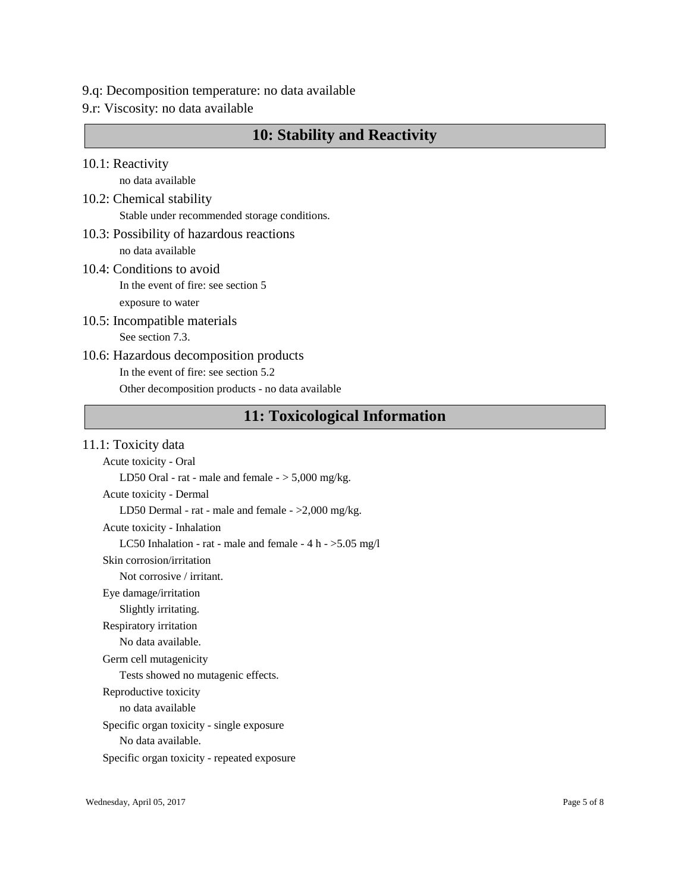- 9.q: Decomposition temperature: no data available
- 9.r: Viscosity: no data available

# **10: Stability and Reactivity**

10.1: Reactivity

no data available

- 10.2: Chemical stability Stable under recommended storage conditions.
- 10.3: Possibility of hazardous reactions no data available
- 10.4: Conditions to avoid In the event of fire: see section 5 exposure to water
- 10.5: Incompatible materials See section 7.3.
- 10.6: Hazardous decomposition products In the event of fire: see section 5.2 Other decomposition products - no data available

# **11: Toxicological Information**

11.1: Toxicity data

Acute toxicity - Oral LD50 Oral - rat - male and female  $-$  > 5,000 mg/kg. Acute toxicity - Dermal LD50 Dermal - rat - male and female - >2,000 mg/kg. Acute toxicity - Inhalation LC50 Inhalation - rat - male and female -  $4 h - 5.05 mg/l$ Skin corrosion/irritation Not corrosive / irritant. Eye damage/irritation Slightly irritating. Respiratory irritation No data available. Germ cell mutagenicity Tests showed no mutagenic effects. Reproductive toxicity no data available Specific organ toxicity - single exposure No data available. Specific organ toxicity - repeated exposure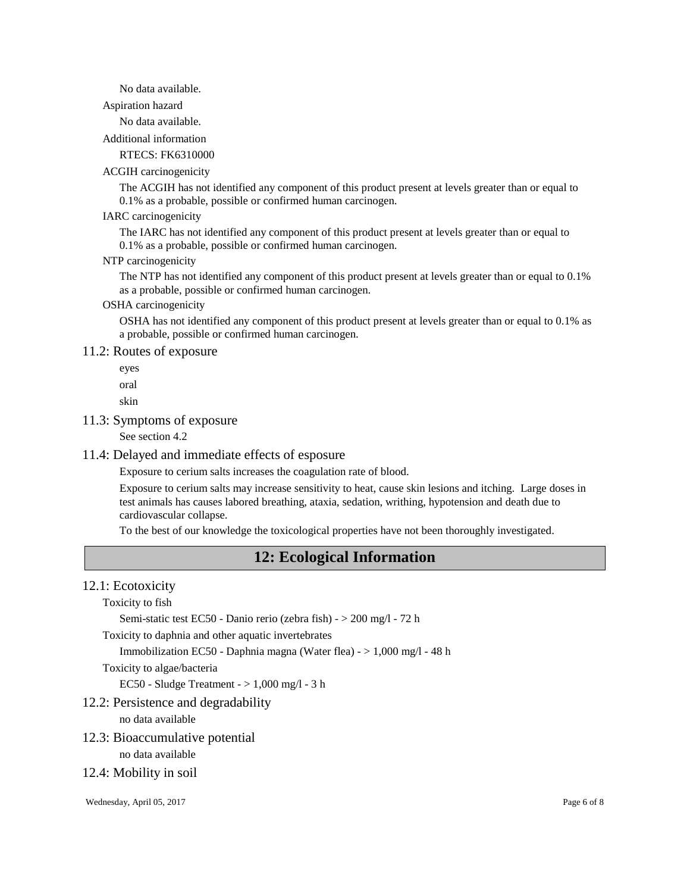No data available.

Aspiration hazard

No data available.

Additional information

RTECS: FK6310000

#### ACGIH carcinogenicity

The ACGIH has not identified any component of this product present at levels greater than or equal to 0.1% as a probable, possible or confirmed human carcinogen.

#### IARC carcinogenicity

The IARC has not identified any component of this product present at levels greater than or equal to 0.1% as a probable, possible or confirmed human carcinogen.

#### NTP carcinogenicity

The NTP has not identified any component of this product present at levels greater than or equal to 0.1% as a probable, possible or confirmed human carcinogen.

### OSHA carcinogenicity

OSHA has not identified any component of this product present at levels greater than or equal to 0.1% as a probable, possible or confirmed human carcinogen.

#### 11.2: Routes of exposure

eyes

oral

skin

#### 11.3: Symptoms of exposure

See section 4.2

#### 11.4: Delayed and immediate effects of esposure

Exposure to cerium salts increases the coagulation rate of blood.

Exposure to cerium salts may increase sensitivity to heat, cause skin lesions and itching. Large doses in test animals has causes labored breathing, ataxia, sedation, writhing, hypotension and death due to cardiovascular collapse.

To the best of our knowledge the toxicological properties have not been thoroughly investigated.

# **12: Ecological Information**

#### 12.1: Ecotoxicity

Toxicity to fish

Semi-static test EC50 - Danio rerio (zebra fish) - > 200 mg/l - 72 h

Toxicity to daphnia and other aquatic invertebrates

Immobilization EC50 - Daphnia magna (Water flea) - > 1,000 mg/l - 48 h

Toxicity to algae/bacteria

EC50 - Sludge Treatment - > 1,000 mg/l - 3 h

#### 12.2: Persistence and degradability

no data available

12.3: Bioaccumulative potential

no data available

12.4: Mobility in soil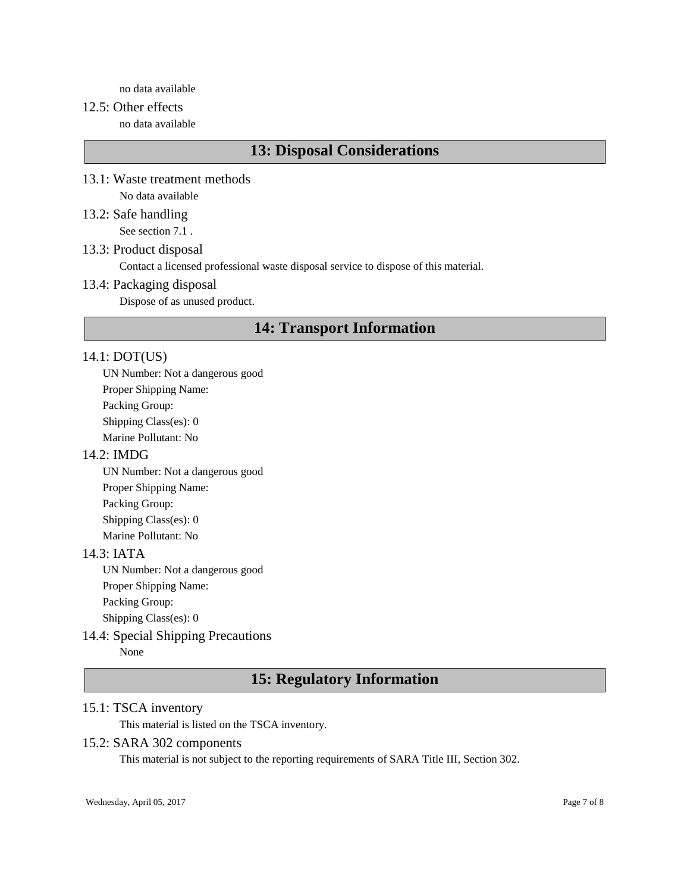no data available

### 12.5: Other effects

no data available

# **13: Disposal Considerations**

- 13.1: Waste treatment methods No data available
- 13.2: Safe handling See section 7.1 .

13.3: Product disposal

Contact a licensed professional waste disposal service to dispose of this material.

#### 13.4: Packaging disposal

Dispose of as unused product.

# **14: Transport Information**

#### 14.1: DOT(US)

UN Number: Not a dangerous good Proper Shipping Name: Packing Group: Shipping Class(es): 0 Marine Pollutant: No

#### 14.2: IMDG

UN Number: Not a dangerous good Proper Shipping Name: Packing Group: Shipping Class(es): 0 Marine Pollutant: No

#### 14.3: IATA

UN Number: Not a dangerous good Proper Shipping Name: Packing Group: Shipping Class(es): 0

#### 14.4: Special Shipping Precautions

None

# **15: Regulatory Information**

# 15.1: TSCA inventory

This material is listed on the TSCA inventory.

### 15.2: SARA 302 components

This material is not subject to the reporting requirements of SARA Title III, Section 302.